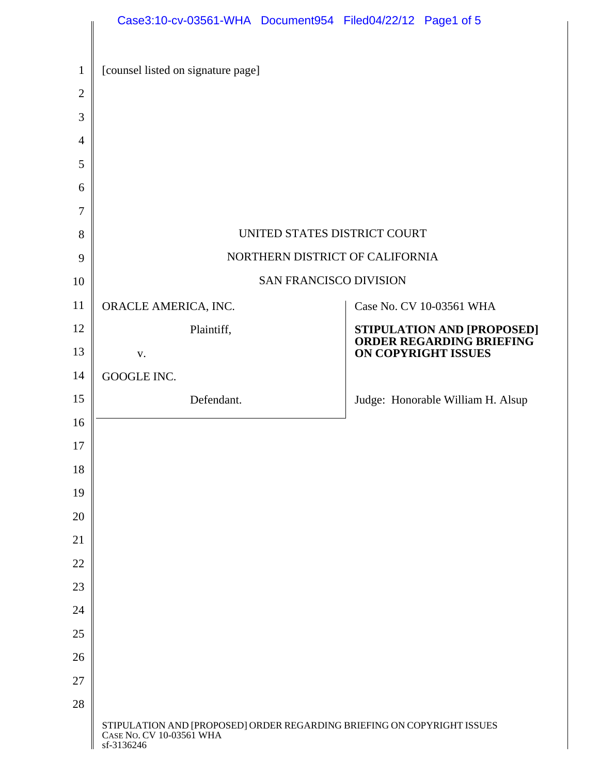|              | Case3:10-cv-03561-WHA Document954 Filed04/22/12 Page1 of 5                                                     |  |  |                                                        |
|--------------|----------------------------------------------------------------------------------------------------------------|--|--|--------------------------------------------------------|
| $\mathbf{1}$ | [counsel listed on signature page]                                                                             |  |  |                                                        |
| $\mathbf{2}$ |                                                                                                                |  |  |                                                        |
| 3            |                                                                                                                |  |  |                                                        |
| 4            |                                                                                                                |  |  |                                                        |
| 5            |                                                                                                                |  |  |                                                        |
| 6            |                                                                                                                |  |  |                                                        |
| 7            |                                                                                                                |  |  |                                                        |
| 8            | UNITED STATES DISTRICT COURT                                                                                   |  |  |                                                        |
| 9            | NORTHERN DISTRICT OF CALIFORNIA                                                                                |  |  |                                                        |
| 10           | <b>SAN FRANCISCO DIVISION</b>                                                                                  |  |  |                                                        |
| 11           | ORACLE AMERICA, INC.                                                                                           |  |  | Case No. CV 10-03561 WHA                               |
| 12           | Plaintiff,                                                                                                     |  |  | STIPULATION AND [PROPOSED]<br>ORDER REGARDING BRIEFING |
| 13           | V.                                                                                                             |  |  | ON COPYRIGHT ISSUES                                    |
| 14           | GOOGLE INC.                                                                                                    |  |  |                                                        |
| 15           | Defendant.                                                                                                     |  |  | Judge: Honorable William H. Alsup                      |
| 16           |                                                                                                                |  |  |                                                        |
| $17\,$       |                                                                                                                |  |  |                                                        |
| 18           |                                                                                                                |  |  |                                                        |
| 19           |                                                                                                                |  |  |                                                        |
| 20           |                                                                                                                |  |  |                                                        |
| 21           |                                                                                                                |  |  |                                                        |
| 22           |                                                                                                                |  |  |                                                        |
| 23           |                                                                                                                |  |  |                                                        |
| 24           |                                                                                                                |  |  |                                                        |
| 25           |                                                                                                                |  |  |                                                        |
| 26           |                                                                                                                |  |  |                                                        |
| 27           |                                                                                                                |  |  |                                                        |
| 28           | STIPULATION AND [PROPOSED] ORDER REGARDING BRIEFING ON COPYRIGHT ISSUES CASE No. CV 10-03561 WHA<br>sf-3136246 |  |  |                                                        |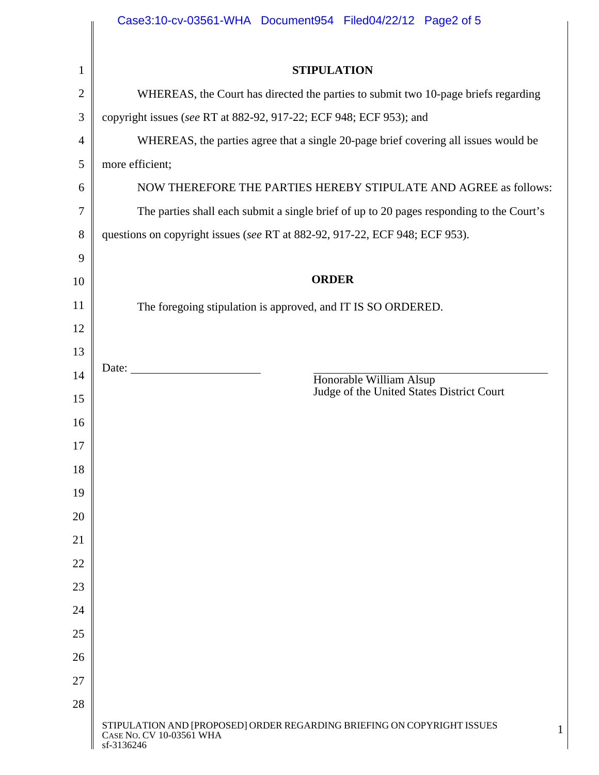|                | Case3:10-cv-03561-WHA Document954 Filed04/22/12 Page2 of 5                                                                       |  |  |  |  |
|----------------|----------------------------------------------------------------------------------------------------------------------------------|--|--|--|--|
| $\mathbf{1}$   | <b>STIPULATION</b>                                                                                                               |  |  |  |  |
| $\overline{2}$ | WHEREAS, the Court has directed the parties to submit two 10-page briefs regarding                                               |  |  |  |  |
| 3              | copyright issues (see RT at 882-92, 917-22; ECF 948; ECF 953); and                                                               |  |  |  |  |
| $\overline{4}$ | WHEREAS, the parties agree that a single 20-page brief covering all issues would be                                              |  |  |  |  |
| 5              | more efficient;                                                                                                                  |  |  |  |  |
| 6              | NOW THEREFORE THE PARTIES HEREBY STIPULATE AND AGREE as follows:                                                                 |  |  |  |  |
| 7              | The parties shall each submit a single brief of up to 20 pages responding to the Court's                                         |  |  |  |  |
| 8              | questions on copyright issues (see RT at 882-92, 917-22, ECF 948; ECF 953).                                                      |  |  |  |  |
| 9              |                                                                                                                                  |  |  |  |  |
| 10             | <b>ORDER</b>                                                                                                                     |  |  |  |  |
| 11             | The foregoing stipulation is approved, and IT IS SO ORDERED.                                                                     |  |  |  |  |
| 12             |                                                                                                                                  |  |  |  |  |
| 13             |                                                                                                                                  |  |  |  |  |
| 14             | Date: $\frac{1}{\sqrt{1-\frac{1}{2}} \cdot \frac{1}{2}}$<br>Honorable William Alsup<br>Judge of the United States District Court |  |  |  |  |
| 15             |                                                                                                                                  |  |  |  |  |
| 16             |                                                                                                                                  |  |  |  |  |
| 17             |                                                                                                                                  |  |  |  |  |
| 18             |                                                                                                                                  |  |  |  |  |
| 19             |                                                                                                                                  |  |  |  |  |
| 20             |                                                                                                                                  |  |  |  |  |
| 21             |                                                                                                                                  |  |  |  |  |
| 22             |                                                                                                                                  |  |  |  |  |
| 23<br>24       |                                                                                                                                  |  |  |  |  |
| 25             |                                                                                                                                  |  |  |  |  |
| 26             |                                                                                                                                  |  |  |  |  |
| 27             |                                                                                                                                  |  |  |  |  |
| 28             |                                                                                                                                  |  |  |  |  |
|                | STIPULATION AND [PROPOSED] ORDER REGARDING BRIEFING ON COPYRIGHT ISSUES<br>1<br>CASE NO. CV 10-03561 WHA<br>sf-3136246           |  |  |  |  |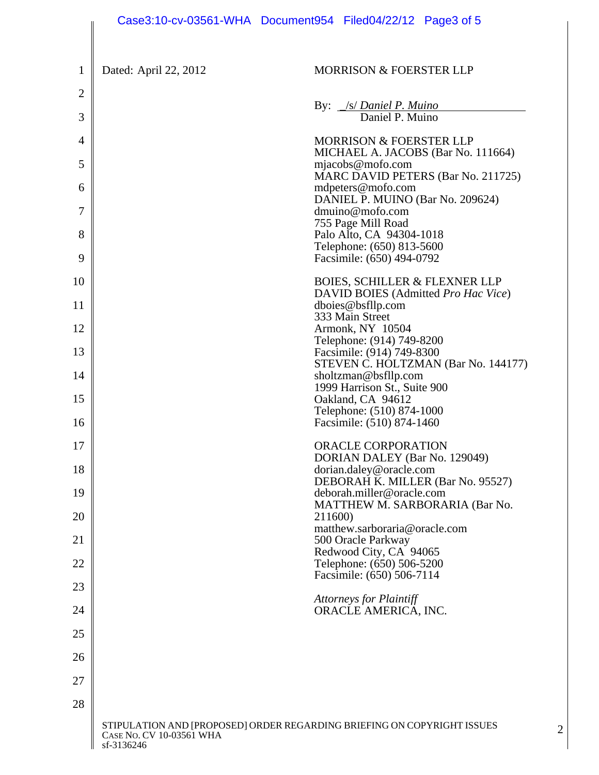|                     |                                        | Case3:10-cv-03561-WHA Document954 Filed04/22/12 Page3 of 5                                    |
|---------------------|----------------------------------------|-----------------------------------------------------------------------------------------------|
| $\mathbf{1}$        | Dated: April 22, 2012                  | <b>MORRISON &amp; FOERSTER LLP</b>                                                            |
| $\overline{2}$<br>3 |                                        | By: <i>S/ Daniel P. Muino</i><br>Daniel P. Muino                                              |
| 4                   |                                        | <b>MORRISON &amp; FOERSTER LLP</b>                                                            |
| 5                   |                                        | MICHAEL A. JACOBS (Bar No. 111664)<br>mjacobs@mofo.com                                        |
| 6                   |                                        | MARC DAVID PETERS (Bar No. 211725)<br>mdpeters@mofo.com                                       |
| 7                   |                                        | DANIEL P. MUINO (Bar No. 209624)<br>dmuino@mofo.com                                           |
| 8                   |                                        | 755 Page Mill Road<br>Palo Alto, CA 94304-1018                                                |
| 9                   |                                        | Telephone: (650) 813-5600<br>Facsimile: (650) 494-0792                                        |
| 10                  |                                        | <b>BOIES, SCHILLER &amp; FLEXNER LLP</b>                                                      |
| 11                  |                                        | DAVID BOIES (Admitted Pro Hac Vice)<br>dboies@bsfllp.com                                      |
| 12                  |                                        | 333 Main Street<br>Armonk, NY 10504                                                           |
| 13                  |                                        | Telephone: (914) 749-8200<br>Facsimile: (914) 749-8300<br>STEVEN C. HOLTZMAN (Bar No. 144177) |
| 14                  |                                        | sholtzman@bsfllp.com<br>1999 Harrison St., Suite 900                                          |
| 15                  |                                        | Oakland, CA 94612<br>Telephone: (510) 874-1000                                                |
| 16                  |                                        | Facsimile: (510) 874-1460                                                                     |
| 17                  |                                        | <b>ORACLE CORPORATION</b><br>DORIAN DALEY (Bar No. 129049)                                    |
| 18                  |                                        | dorian.daley@oracle.com<br>DEBORAH K. MILLER (Bar No. 95527)                                  |
| 19                  |                                        | deborah.miller@oracle.com<br>MATTHEW M. SARBORARIA (Bar No.                                   |
| 20                  |                                        | 211600)<br>matthew.sarboraria@oracle.com                                                      |
| 21                  |                                        | 500 Oracle Parkway<br>Redwood City, CA 94065                                                  |
| 22                  |                                        | Telephone: (650) 506-5200<br>Facsimile: (650) 506-7114                                        |
| 23                  |                                        | <b>Attorneys for Plaintiff</b>                                                                |
| 24                  |                                        | ORACLE AMERICA, INC.                                                                          |
| 25                  |                                        |                                                                                               |
| 26                  |                                        |                                                                                               |
| 27                  |                                        |                                                                                               |
| 28                  | CASE NO. CV 10-03561 WHA<br>sf-3136246 | STIPULATION AND [PROPOSED] ORDER REGARDING BRIEFING ON COPYRIGHT ISSUES<br>$\overline{2}$     |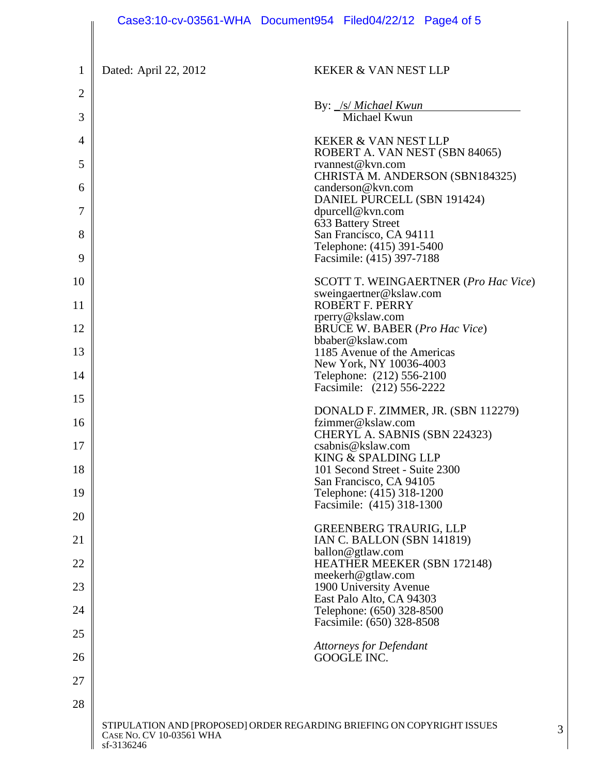|          |                                        | Case3:10-cv-03561-WHA Document954 Filed04/22/12 Page4 of 5                   |
|----------|----------------------------------------|------------------------------------------------------------------------------|
| 1        | Dated: April 22, 2012                  | <b>KEKER &amp; VAN NEST LLP</b>                                              |
| 2        |                                        | By: <i>S/ Michael Kwun</i>                                                   |
| 3        |                                        | Michael Kwun                                                                 |
| 4        |                                        | <b>KEKER &amp; VAN NEST LLP</b><br>ROBERT A. VAN NEST (SBN 84065)            |
| 5<br>6   |                                        | rvannest@kvn.com<br>CHRISTA M. ANDERSON (SBN184325)<br>canderson@kvn.com     |
| 7        |                                        | DANIEL PURCELL (SBN 191424)<br>dpurcell@kvn.com                              |
| 8        |                                        | 633 Battery Street<br>San Francisco, CA 94111                                |
| 9        |                                        | Telephone: (415) 391-5400<br>Facsimile: (415) 397-7188                       |
| 10       |                                        | <b>SCOTT T. WEINGAERTNER (Pro Hac Vice)</b><br>sweingaertner@kslaw.com       |
| 11       |                                        | <b>ROBERT F. PERRY</b>                                                       |
| 12       |                                        | rperry@kslaw.com<br><b>BRUCE W. BABER (Pro Hac Vice)</b>                     |
| 13       |                                        | bbaber@kslaw.com<br>1185 Avenue of the Americas                              |
| 14       |                                        | New York, NY 10036-4003<br>Telephone: (212) 556-2100                         |
| 15       |                                        | Facsimile: (212) 556-2222                                                    |
| 16       |                                        | DONALD F. ZIMMER, JR. (SBN 112279)<br>fzimmer@kslaw.com                      |
| 17       |                                        | CHERYL A. SABNIS (SBN 224323)<br>csabnis@kslaw.com                           |
| 18       |                                        | KING & SPALDING LLP<br>101 Second Street - Suite 2300                        |
|          |                                        | San Francisco, CA 94105                                                      |
| 19       |                                        | Telephone: (415) 318-1200<br>Facsimile: (415) 318-1300                       |
| 20<br>21 |                                        | <b>GREENBERG TRAURIG, LLP</b><br>IAN C. BALLON (SBN 141819)                  |
| 22       |                                        | ballon@gtlaw.com<br><b>HEATHER MEEKER (SBN 172148)</b>                       |
| 23       |                                        | meekerh@gtlaw.com<br>1900 University Avenue                                  |
| 24       |                                        | East Palo Alto, CA 94303<br>Telephone: (650) 328-8500                        |
| 25       |                                        | Facsimile: (650) 328-8508                                                    |
| 26       |                                        | <b>Attorneys for Defendant</b><br><b>GOOGLE INC.</b>                         |
| 27       |                                        |                                                                              |
| 28       |                                        |                                                                              |
|          | CASE NO. CV 10-03561 WHA<br>sf-3136246 | STIPULATION AND [PROPOSED] ORDER REGARDING BRIEFING ON COPYRIGHT ISSUES<br>3 |